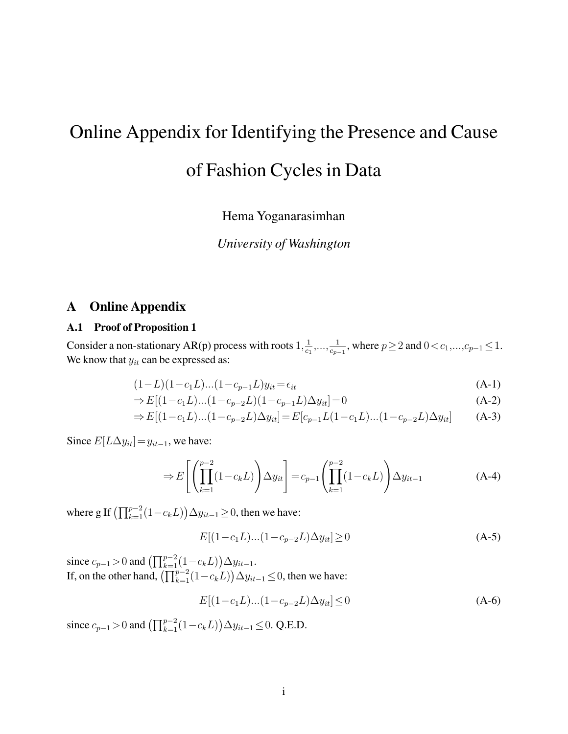# Online Appendix for Identifying the Presence and Cause

# of Fashion Cycles in Data

Hema Yoganarasimhan

*University of Washington*

## A Online Appendix

#### A.1 Proof of Proposition 1

Consider a non-stationary AR(p) process with roots  $1, \frac{1}{\alpha}$  $\frac{1}{c_1}, \ldots, \frac{1}{c_p}$  $\frac{1}{c_{p-1}}$ , where  $p \ge 2$  and  $0 < c_1, ..., c_{p-1} \le 1$ . We know that  $y_{it}$  can be expressed as:

<span id="page-0-0"></span>
$$
(1 - L)(1 - c_1L)\dots(1 - c_{p-1}L)y_{it} = \epsilon_{it} \tag{A-1}
$$

$$
\Rightarrow E[(1-c_1L)...(1-c_{p-2}L)(1-c_{p-1}L)\Delta y_{it}] = 0
$$
\n(A-2)

$$
\Rightarrow E[(1-c_1L)...(1-c_{p-2}L)\Delta y_{it}] = E[c_{p-1}L(1-c_1L)...(1-c_{p-2}L)\Delta y_{it}] \qquad \text{(A-3)}
$$

Since  $E[L\Delta y_{it}] = y_{it-1}$ , we have:

<span id="page-0-1"></span>
$$
\Rightarrow E\left[\left(\prod_{k=1}^{p-2} (1-c_k L)\right) \Delta y_{it}\right] = c_{p-1} \left(\prod_{k=1}^{p-2} (1-c_k L)\right) \Delta y_{it-1} \tag{A-4}
$$

where g If  $\left(\prod_{k=1}^{p-2} (1 - c_k L)\right) \Delta y_{it-1} \geq 0$ , then we have:

$$
E[(1 - c_1 L)...(1 - c_{p-2} L)\Delta y_{it}] \ge 0
$$
\n(A-5)

since  $c_{p-1} > 0$  and  $\left(\prod_{k=1}^{p-2} (1 - c_k L)\right) \Delta y_{it-1}$ . If, on the other hand,  $\left(\prod_{k=1}^{p-2} (1 - c_k L)\right) \Delta y_{it-1} \leq 0$ , then we have:

$$
E[(1 - c_1 L)...(1 - c_{p-2} L)\Delta y_{it}] \le 0
$$
\n(A-6)

since  $c_{p-1} > 0$  and  $\left(\prod_{k=1}^{p-2} (1 - c_k L)\right) \Delta y_{it-1} \leq 0$ . Q.E.D.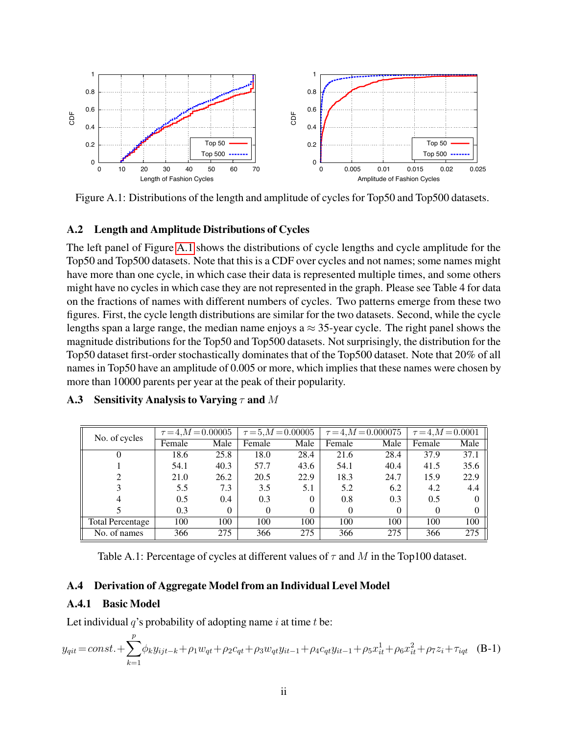

<span id="page-1-0"></span>Figure A.1: Distributions of the length and amplitude of cycles for Top50 and Top500 datasets.

#### A.2 Length and Amplitude Distributions of Cycles

The left panel of Figure [A.1](#page-1-0) shows the distributions of cycle lengths and cycle amplitude for the Top50 and Top500 datasets. Note that this is a CDF over cycles and not names; some names might have more than one cycle, in which case their data is represented multiple times, and some others might have no cycles in which case they are not represented in the graph. Please see Table 4 for data on the fractions of names with different numbers of cycles. Two patterns emerge from these two figures. First, the cycle length distributions are similar for the two datasets. Second, while the cycle lengths span a large range, the median name enjoys a  $\approx$  35-year cycle. The right panel shows the magnitude distributions for the Top50 and Top500 datasets. Not surprisingly, the distribution for the Top50 dataset first-order stochastically dominates that of the Top500 dataset. Note that 20% of all names in Top50 have an amplitude of 0.005 or more, which implies that these names were chosen by more than 10000 parents per year at the peak of their popularity.

| No. of cycles           | $\tau = 4, M = 0.00005$ |      |          | $\tau = 5, M = 0.00005$ |        | $\tau = 4, M = 0.000075$ | $\tau = 4, M = 0.0001$ |      |
|-------------------------|-------------------------|------|----------|-------------------------|--------|--------------------------|------------------------|------|
|                         | Female                  | Male | Female   | Male                    | Female | Male                     | Female                 | Male |
|                         | 18.6                    | 25.8 | 18.0     | 28.4                    | 21.6   | 28.4                     | 37.9                   | 37.1 |
|                         | 54.1                    | 40.3 | 57.7     | 43.6                    | 54.1   | 40.4                     | 41.5                   | 35.6 |
|                         | 21.0                    | 26.2 | 20.5     | 22.9                    | 18.3   | 24.7                     | 15.9                   | 22.9 |
|                         | 5.5                     | 7.3  | 3.5      | 5.1                     | 5.2    | 6.2                      | 4.2                    | 4.4  |
|                         | 0.5                     | 0.4  | 0.3      | $\Omega$                | 0.8    | 0.3                      | 0.5                    | 0    |
|                         | 0.3                     | 0    | $\Omega$ | $\theta$                | 0      | $\Omega$                 |                        | 0    |
| <b>Total Percentage</b> | 100                     | 100  | 100      | 100                     | 100    | 100                      | 100                    | 100  |
| No. of names            | 366                     | 275  | 366      | 275                     | 366    | 275                      | 366                    | 275  |

#### A.3 Sensitivity Analysis to Varying  $\tau$  and M

Table A.1: Percentage of cycles at different values of  $\tau$  and M in the Top100 dataset.

#### A.4 Derivation of Aggregate Model from an Individual Level Model

#### A.4.1 Basic Model

Let individual  $q$ 's probability of adopting name i at time t be:

$$
y_{qit} = const. + \sum_{k=1}^{p} \phi_k y_{ijt-k} + \rho_1 w_{qt} + \rho_2 c_{qt} + \rho_3 w_{qt} y_{it-1} + \rho_4 c_{qt} y_{it-1} + \rho_5 x_{it}^1 + \rho_6 x_{it}^2 + \rho_7 z_i + \tau_{igt} \quad (B-1)
$$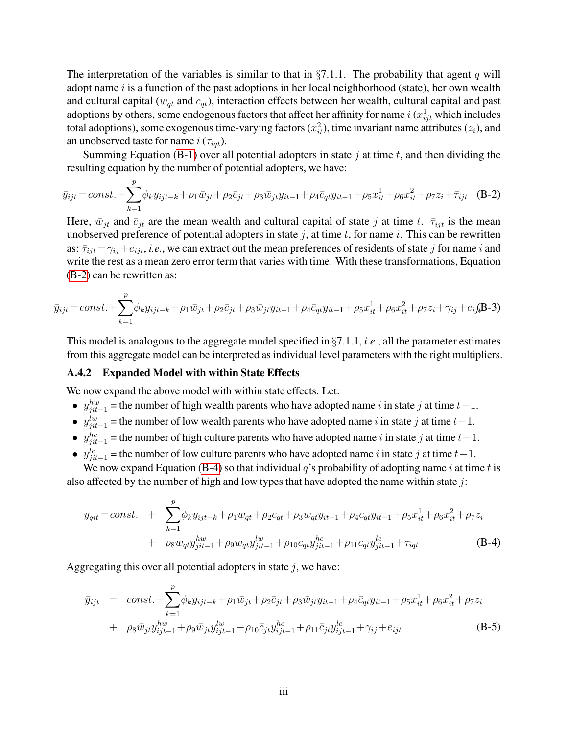The interpretation of the variables is similar to that in  $\S7.1.1$ . The probability that agent q will adopt name  $i$  is a function of the past adoptions in her local neighborhood (state), her own wealth and cultural capital ( $w_{qt}$  and  $c_{qt}$ ), interaction effects between her wealth, cultural capital and past adoptions by others, some endogenous factors that affect her affinity for name  $i$  ( $x_{ijt}^1$  which includes total adoptions), some exogenous time-varying factors  $(x_{it}^2)$ , time invariant name attributes  $(z_i)$ , and an unobserved taste for name  $i(\tau_{iqt})$ .

Summing Equation [\(B-1\)](#page-0-0) over all potential adopters in state  $j$  at time  $t$ , and then dividing the resulting equation by the number of potential adopters, we have:

<span id="page-2-0"></span>
$$
\bar{y}_{ijt} = const. + \sum_{k=1}^{p} \phi_k y_{ijt-k} + \rho_1 \bar{w}_{jt} + \rho_2 \bar{c}_{jt} + \rho_3 \bar{w}_{jt} y_{it-1} + \rho_4 \bar{c}_{qt} y_{it-1} + \rho_5 x_{it}^1 + \rho_6 x_{it}^2 + \rho_7 z_i + \bar{\tau}_{ijt}
$$
 (B-2)

Here,  $\bar{w}_{jt}$  and  $\bar{c}_{jt}$  are the mean wealth and cultural capital of state j at time t.  $\bar{\tau}_{ijt}$  is the mean unobserved preference of potential adopters in state  $j$ , at time  $t$ , for name  $i$ . This can be rewritten as:  $\bar{\tau}_{ijt} = \gamma_{ij} + e_{ijt}$ , *i.e.*, we can extract out the mean preferences of residents of state j for name i and write the rest as a mean zero error term that varies with time. With these transformations, Equation [\(B-2\)](#page-2-0) can be rewritten as:

$$
\bar{y}_{ijt} = const. + \sum_{k=1}^{p} \phi_k y_{ijt-k} + \rho_1 \bar{w}_{jt} + \rho_2 \bar{c}_{jt} + \rho_3 \bar{w}_{jt} y_{it-1} + \rho_4 \bar{c}_{qt} y_{it-1} + \rho_5 x_{it}^1 + \rho_6 x_{it}^2 + \rho_7 z_i + \gamma_{ij} + e_{ij} \mathbf{B} - 3)
$$

This model is analogous to the aggregate model specified in §7.1.1, *i.e.*, all the parameter estimates from this aggregate model can be interpreted as individual level parameters with the right multipliers.

#### A.4.2 Expanded Model with within State Effects

We now expand the above model with within state effects. Let:

- $y_{ji*t*-1}^{hw}$  = the number of high wealth parents who have adopted name i in state j at time  $t-1$ .
- $y_{ji}^{lw}$  = the number of low wealth parents who have adopted name i in state j at time  $t-1$ .
- $y_{jit-1}^{hc}$  = the number of high culture parents who have adopted name i in state j at time  $t-1$ .
- $y_{jit-1}^{lc}$  = the number of low culture parents who have adopted name i in state j at time  $t-1$ .

We now expand Equation [\(B-4\)](#page-0-1) so that individual  $q$ 's probability of adopting name i at time t is also affected by the number of high and low types that have adopted the name within state  $j$ :

$$
y_{qit} = const. + \sum_{k=1}^{p} \phi_k y_{ijt-k} + \rho_1 w_{qt} + \rho_2 c_{qt} + \rho_3 w_{qt} y_{it-1} + \rho_4 c_{qt} y_{it-1} + \rho_5 x_{it}^1 + \rho_6 x_{it}^2 + \rho_7 z_i
$$
  
+  $\rho_8 w_{qt} y_{jit-1}^{hw} + \rho_9 w_{qt} y_{jit-1}^{lw} + \rho_{10} c_{qt} y_{jit-1}^{hc} + \rho_{11} c_{qt} y_{jit-1}^{lc} + \tau_{igt}$  (B-4)

Aggregating this over all potential adopters in state  $j$ , we have:

$$
\bar{y}_{ijt} = const. + \sum_{k=1}^{p} \phi_k y_{ijt-k} + \rho_1 \bar{w}_{jt} + \rho_2 \bar{c}_{jt} + \rho_3 \bar{w}_{jt} y_{it-1} + \rho_4 \bar{c}_{qt} y_{it-1} + \rho_5 x_{it}^1 + \rho_6 x_{it}^2 + \rho_7 z_i \n+ \rho_8 \bar{w}_{jt} y_{ijt-1}^{hw} + \rho_9 \bar{w}_{jt} y_{ijt-1}^{lw} + \rho_{10} \bar{c}_{jt} y_{ijt-1}^{hc} + \rho_{11} \bar{c}_{jt} y_{ijt-1}^{lc} + \gamma_{ij} + e_{ijt}
$$
\n(B-5)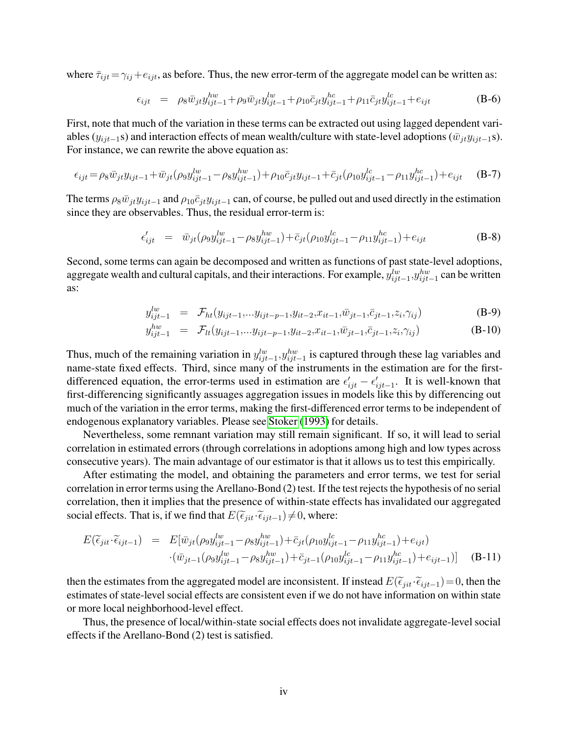where  $\bar{\tau}_{ijt} = \gamma_{ij} + e_{ijt}$ , as before. Thus, the new error-term of the aggregate model can be written as:

$$
\epsilon_{ijt} = \rho_8 \bar{w}_{jt} y_{ijt-1}^{hw} + \rho_9 \bar{w}_{jt} y_{ijt-1}^{lw} + \rho_{10} \bar{c}_{jt} y_{ijt-1}^{hc} + \rho_{11} \bar{c}_{jt} y_{ijt-1}^{lc} + e_{ijt}
$$
(B-6)

First, note that much of the variation in these terms can be extracted out using lagged dependent variables ( $y_{ijt-1}$ s) and interaction effects of mean wealth/culture with state-level adoptions ( $\bar{w}_{jt}y_{ijt-1}s$ ). For instance, we can rewrite the above equation as:

$$
\epsilon_{ijt} = \rho_8 \bar{w}_{jt} y_{ijt-1} + \bar{w}_{jt} (\rho_9 y_{ijt-1}^{lw} - \rho_8 y_{ijt-1}^{hw}) + \rho_{10} \bar{c}_{jt} y_{ijt-1} + \bar{c}_{jt} (\rho_{10} y_{ijt-1}^{lc} - \rho_{11} y_{ijt-1}^{hc}) + e_{ijt} \quad (B-7)
$$

The terms  $\rho_8\bar{w}_{jt}y_{ijt-1}$  and  $\rho_{10}\bar{c}_{jt}y_{ijt-1}$  can, of course, be pulled out and used directly in the estimation since they are observables. Thus, the residual error-term is:

$$
\epsilon'_{ijt} = \bar{w}_{jt} (\rho_9 y_{ijt-1}^{lw} - \rho_8 y_{ijt-1}^{hw}) + \bar{c}_{jt} (\rho_{10} y_{ijt-1}^{lc} - \rho_{11} y_{ijt-1}^{hc}) + e_{ijt} \tag{B-8}
$$

Second, some terms can again be decomposed and written as functions of past state-level adoptions, aggregate wealth and cultural capitals, and their interactions. For example,  $y_{ijt-1}^{lw}, y_{ijt-1}^{hw}$  can be written as:

$$
y_{ijt-1}^{lw} = \mathcal{F}_{ht}(y_{ijt-1}, \dots y_{ijt-p-1}, y_{it-2}, x_{it-1}, \bar{w}_{jt-1}, \bar{c}_{jt-1}, z_i, \gamma_{ij})
$$
(B-9)

$$
y_{ijt-1}^{hw} = \mathcal{F}_{lt}(y_{ijt-1}, \dots y_{ijt-p-1}, y_{it-2}, x_{it-1}, \bar{w}_{jt-1}, \bar{c}_{jt-1}, z_i, \gamma_{ij})
$$
(B-10)

Thus, much of the remaining variation in  $y_{ijt-1}^{lw}, y_{ijt-1}^{hw}$  is captured through these lag variables and name-state fixed effects. Third, since many of the instruments in the estimation are for the firstdifferenced equation, the error-terms used in estimation are  $\epsilon'_{ijt} - \epsilon'_{ijt-1}$ . It is well-known that first-differencing significantly assuages aggregation issues in models like this by differencing out much of the variation in the error terms, making the first-differenced error terms to be independent of endogenous explanatory variables. Please see [Stoker](#page-8-0) [\(1993\)](#page-8-0) for details.

Nevertheless, some remnant variation may still remain significant. If so, it will lead to serial correlation in estimated errors (through correlations in adoptions among high and low types across consecutive years). The main advantage of our estimator is that it allows us to test this empirically.

After estimating the model, and obtaining the parameters and error terms, we test for serial correlation in error terms using the Arellano-Bond (2) test. If the test rejects the hypothesis of no serial correlation, then it implies that the presence of within-state effects has invalidated our aggregated social effects. That is, if we find that  $E(\tilde{\epsilon}_{jit} \cdot \tilde{\epsilon}_{ijt-1}) \neq 0$ , where:

$$
E(\widetilde{\epsilon}_{jit} \cdot \widetilde{\epsilon}_{ijt-1}) = E[\bar{w}_{jt}(\rho_9 y_{ijt-1}^{lw} - \rho_8 y_{ijt-1}^{hw}) + \bar{c}_{jt}(\rho_{10} y_{ijt-1}^{lc} - \rho_{11} y_{ijt-1}^{hc}) + e_{ijt})
$$
  
 
$$
\cdot (\bar{w}_{jt-1}(\rho_9 y_{ijt-1}^{lw} - \rho_8 y_{ijt-1}^{hw}) + \bar{c}_{jt-1}(\rho_{10} y_{ijt-1}^{lc} - \rho_{11} y_{ijt-1}^{hc}) + e_{ijt-1})] \quad (B-11)
$$

then the estimates from the aggregated model are inconsistent. If instead  $E(\tilde{\epsilon}_{jit} \cdot \tilde{\epsilon}_{ijt-1})=0$ , then the estimates of state-level social effects are consistent even if we do not have information on within state or more local neighborhood-level effect.

Thus, the presence of local/within-state social effects does not invalidate aggregate-level social effects if the Arellano-Bond (2) test is satisfied.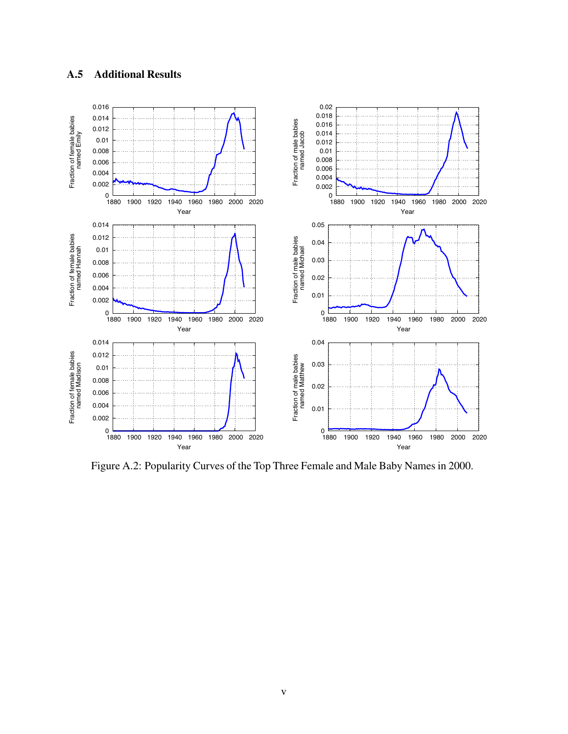### A.5 Additional Results



Figure A.2: Popularity Curves of the Top Three Female and Male Baby Names in 2000.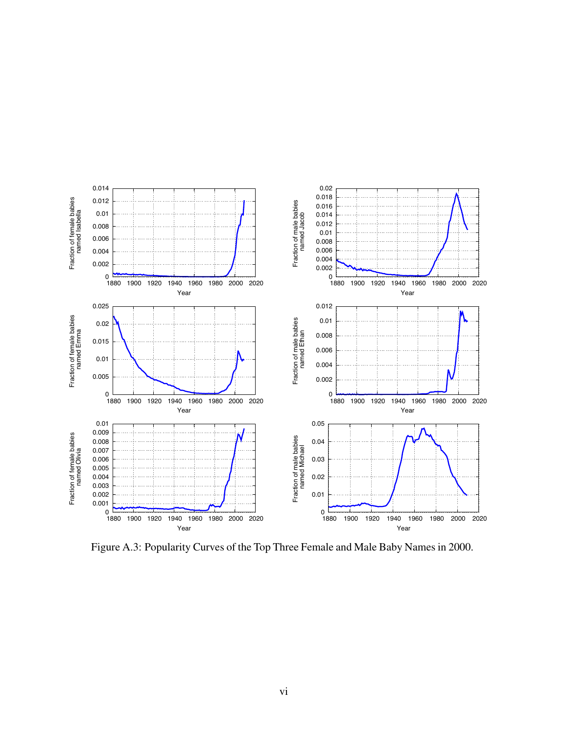

Figure A.3: Popularity Curves of the Top Three Female and Male Baby Names in 2000.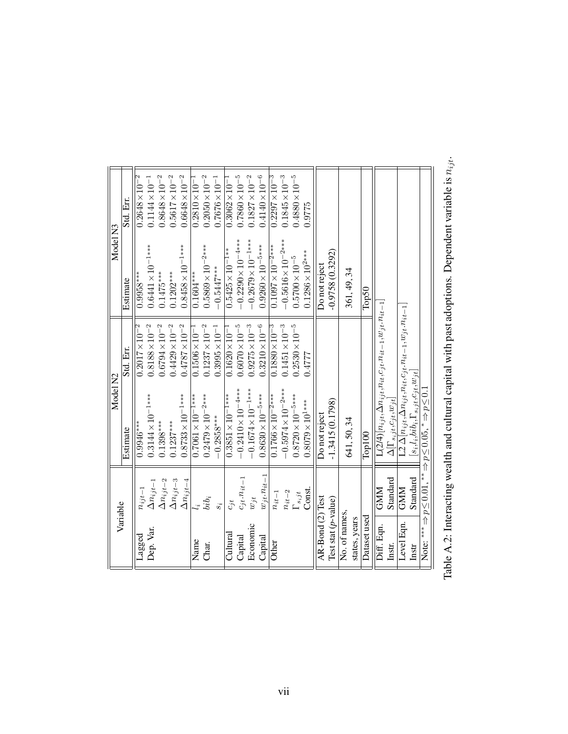| Variable                                   |                    | Model N <sub>2</sub>                                                                 |                                 | Model <sub>N3</sub>        |                         |
|--------------------------------------------|--------------------|--------------------------------------------------------------------------------------|---------------------------------|----------------------------|-------------------------|
|                                            |                    | Estimate                                                                             | Std. Err.                       | Estimate                   | Std. Err.               |
| $_{\rm Lagged}$                            | $n_{ijt-1}$        | $0.9946***$                                                                          | $-2$<br>$0.2017 \times 10^{-7}$ | $0.9958***$                | 2<br>$0.2648 \times 10$ |
| Dep. Var.                                  | $\Delta n_{ijt-1}$ | $0.3144\times10^{-1***}$                                                             | $0.8188\times10^{-2}$           | $0.6441 \times 10^{-1***}$ | $0.1144 \times 10^{-1}$ |
|                                            | $\Delta n_{ijt-2}$ | $0.1398***$                                                                          | $0.6794\times10^{-2}$           | $0.1475***$                | $0.8648 \times 10^{-2}$ |
|                                            | $\Delta n_{ijt-3}$ | $0.1237***$                                                                          | $0.4429\times10^{-2}$           | $0.1202***$                | $0.5617\times10^{-2}$   |
|                                            | $\Delta n_{ijt-4}$ | $0.8733\times10^{-1***}$                                                             | $0.4787\times10^{-2}$           | $0.8458\times10^{-1***}$   | $0.6648\times10^{-2}$   |
| Name                                       |                    | $0.7061\times10^{-1***}$                                                             | $0.1506 \times 10^{-7}$         | $0.1604***$                | $0.2810 \times 10^{-7}$ |
| Char.                                      | $bib_i$            | $0.2479\times10^{-2***}$                                                             | $0.1237 \times 10^{-2}$         | $0.5869 \times 10^{-2***}$ | $0.2050\times10^{-2}$   |
|                                            | $s_i$              | $-0.2858***$                                                                         | $0.3995 \times 10^{-1}$         | $-0.5447***$               | $0.7676 \times 10^{-1}$ |
| Cultural                                   | $c_{jt}$           | $0.3851\times10^{-1***}$                                                             | $0.1620\times10^{-1}$           | $0.5425 \times 10^{-1**}$  | $0.3062 \times 10^{-7}$ |
| Capital                                    | $c_{jt}.n_{it-1}$  | $-0.2410\times10^{-4***}$                                                            | $0.6070\times10^{-5}$           | $-0.2290\times10^{-4***}$  | $0.7860 \times 10^{-5}$ |
| Economic                                   | $w_{jt}$           | $-0.1674\times10^{-1***}$                                                            | $0.9275\times10^{-3}$           | $-0.2679\times10^{-1***}$  | $0.1827\times10^{-2}$   |
| Capital                                    | $w_{jt}.n_{it-1}$  | $0.8630\times10^{-5***}$                                                             | $0.3210\times10^{-6}$           | $0.9260\times10^{-5***}$   | $0.4140\times10^{-6}$   |
| Other                                      | $n_{it-1}$         | $0.1766 \times 10^{-2***}$                                                           | $0.1880 \times 10^{-3}$         | $0.1097 \times 10^{-2***}$ | $0.2297 \times 10^{-3}$ |
|                                            | $n_{it-2}$         | $-0.5974\times10^{-2***}$                                                            | $0.1451\times10^{-3}$           | $-0.5616\times10^{-2***}$  | $0.1845 \times 10^{-3}$ |
|                                            | $\Gamma_{s_i jt}$  | $0.8720\times10^{-5***}$                                                             | $0.2530 \times 10^{-5}$         | $0.5700\times10^{-5}$      | $0.4880\times10^{-5}$   |
|                                            | Const.             | $0.8079\times10^{1***}$                                                              | 17777                           | $0.1286\times10^{2***}$    | 0.9775                  |
| AR-Bond (2) Test                           |                    | Do not reject                                                                        |                                 | Do not reject              |                         |
| Test stat $(p$ -value)                     |                    | $-1.3415(0.1798)$                                                                    |                                 | $-0.9758(0.3292)$          |                         |
| No. of names,                              |                    | 641, 50, 34                                                                          |                                 | 361, 49, 34                |                         |
| states, years                              |                    |                                                                                      |                                 |                            |                         |
| Dataset used                               |                    | Top100                                                                               |                                 | Top50                      |                         |
| Diff. Eqn.                                 | <b>GMM</b>         | $\text{L}(2/4)[n_{ijt},\Delta n_{ijt},n_{it},\epsilon_{jt}.n_{it-1},w_{jt}.n_{it-1}$ |                                 |                            |                         |
| Instr.                                     | Standard           | $\Delta[\Gamma_{s_i\underline{j}t},\hspace{-0.5mm}c_{jt},\hspace{-0.5mm}w_{jt}]$     |                                 |                            |                         |
| Level Eqn.                                 | <b>GMM</b>         | $\text{L2}\,\Delta[n_{ijt},\Delta n_{ijt},n_{it},c_{jt}.n_{it-1},w_{jt}.n_{it-1}$    |                                 |                            |                         |
| Instr                                      | Standard           | $s_i, l_i, bib_i, \Gamma_{s_ijt}, c_{jt}, w_{jt}$                                    |                                 |                            |                         |
| Note: $*** \Rightarrow p \leq 0.01$ , $**$ |                    | $\Rightarrow p \leq 0.65$ , $\Rightarrow p \leq 0.1$                                 |                                 |                            |                         |
|                                            |                    |                                                                                      |                                 |                            |                         |

Table A.2: Interacting wealth and cultural capital with past adoptions. Dependent variable is  $n_{jit}$  .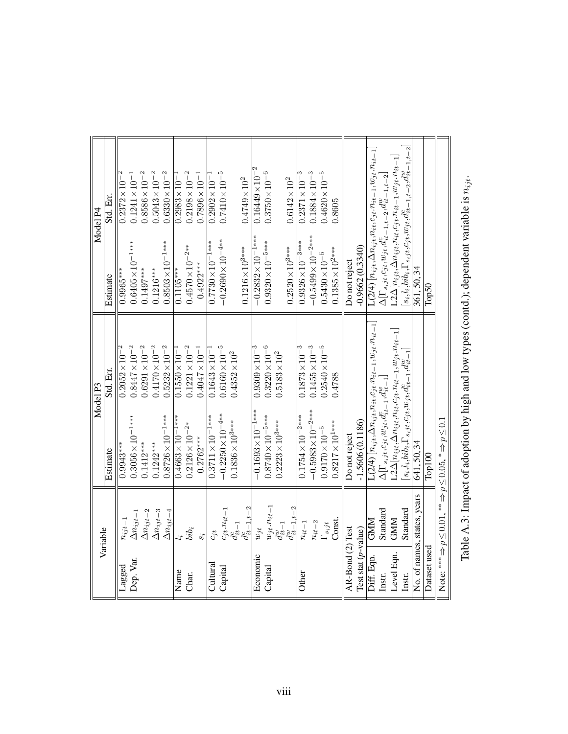|                          | Variable                    |                                                                                        | Model P3                                                                                    |                                                                                                            | Model P4                                                                                                |
|--------------------------|-----------------------------|----------------------------------------------------------------------------------------|---------------------------------------------------------------------------------------------|------------------------------------------------------------------------------------------------------------|---------------------------------------------------------------------------------------------------------|
|                          |                             | Estimate                                                                               | Std. Err.                                                                                   | Estimate                                                                                                   | Std. Err.                                                                                               |
| Lagged                   | $n_{ijt-1}$                 | $0.9943***$                                                                            | $0.2052\times10^{-2}$                                                                       | $0.9965***$                                                                                                | $0.2372\times10^{-7}$                                                                                   |
| Dep. Var.                | $\Delta n_{ijt-1}$          | $0.3056\times10^{-1***}$                                                               | $0.8447 \times 10^{-2}$                                                                     | $0.6405\times10^{-1***}$                                                                                   | $0.1241 \times 10^{-1}$                                                                                 |
|                          | $\Delta n_{ijt-2}$          | $0.1412***$                                                                            | $0.6291 \times 10^{-2}$                                                                     | $0.1497***$                                                                                                | $0.8586 \times 10^{-2}$                                                                                 |
|                          | $\Delta n_{ijt-3}$          | $0.1242***$                                                                            | $0.4170 \times 10^{-2}$                                                                     | $0.1216***$                                                                                                | $0.5043 \times 10^{-2}$                                                                                 |
|                          | $\Delta n_{ijt-4}$          | $0.8726\times10^{-1***}$                                                               | $0.5232 \times 10^{-2}$                                                                     | $0.8503 \times 10^{-1***}$                                                                                 | $0.6330\times10^{-2}$                                                                                   |
| Name                     |                             | $0.4663 \times 10^{-1**}$                                                              | $0.1550\times10^{-7}$                                                                       | $0.1105***$                                                                                                | $0.2983 \times 10^{-7}$                                                                                 |
| Char.                    | $bib_i$                     | $0.2126 \times 10^{-2*}$                                                               | $0.1221 \times 10^{-2}$                                                                     | $0.4570\times10^{-2**}$                                                                                    | $0.2198 \times 10^{-2}$                                                                                 |
|                          | $s_i$                       | $-0.2762***$                                                                           | $0.4047 \times 10^{-1}$                                                                     | $-0.4922***$                                                                                               | $0.7896 \times 10^{-1}$                                                                                 |
| Cultura                  | $c_{jt}$                    | $0.3711\times10^{-1***}$                                                               | $0.1643 \times 10^{-7}$                                                                     | $0.7730\times10^{-1***}$                                                                                   | $0.2902 \times 10^{-7}$                                                                                 |
| Capital                  | $c_{jt}.n_{it-1}$           | $-0.2250\times10^{-4**}$                                                               | $0.6160\times10^{-5}$                                                                       | $-0.2690\times10^{-4**}$                                                                                   | $0.7410\times10^{-5}$                                                                                   |
|                          | $d_{it-1}^c$                | $0.1836 \times 10^{3***}$                                                              | $0.4352\times10^{2}$                                                                        |                                                                                                            |                                                                                                         |
|                          | $d_{it-1,t-2}^c$            |                                                                                        |                                                                                             | $0.1216\times10^{3***}$                                                                                    | $0.4749\times10^{2}$                                                                                    |
| Economic                 | $w_{jt}$                    | $-0.1693\times10^{-1***}$                                                              | $0.9309\times10^{-3}$                                                                       | $-0.2832\times10^{-1**}$                                                                                   | $0.16449 \times 10^{-2}$                                                                                |
| Capita                   | $w_{jt}.n_{it-1}$           | $0.8740\times10^{-5***}$                                                               | $0.3220 \times 10^{-6}$                                                                     | $0.9320\times10^{-5***}$                                                                                   | $0.3750\times10^{-6}$                                                                                   |
|                          | $d^w_{it-1}$                | $0.2223 \times 10^{3***}$                                                              | $0.5183\times10^{2}$                                                                        |                                                                                                            |                                                                                                         |
|                          | $d^w_{it-1,t-2}$            |                                                                                        |                                                                                             | $0.2520\times10^{3***}$                                                                                    | $0.6142\times10^{2}$                                                                                    |
| Other                    | $n_{it-1}$                  | $0.1754 \times 10^{-2***}$                                                             | $0.1873\times10^{-3}$                                                                       | $0.9326\times10^{-3***}$                                                                                   | $0.2371\times10^{-3}$                                                                                   |
|                          | $n_{it-2}$                  | $-0.5983\times10^{-2***}$                                                              | $0.1455 \times 10^{-3}$                                                                     | $-0.5499\times10^{-2***}$                                                                                  | $0.1884\times10^{-3}$                                                                                   |
|                          | $\Gamma_{s_i jt}$           | $0.9170\times10^{-5}$                                                                  | $0.2540\times10^{-5}$                                                                       | $0.5430 \times 10^{-5}$                                                                                    | $0.4620 \times 10^{-5}$                                                                                 |
|                          | Const.                      | $0.8217 \times 10^{1***}$                                                              | 0.4788                                                                                      | $0.1385 \times 10^{2***}$                                                                                  | 0.8605                                                                                                  |
| AR-Bond (2) Test         |                             | Do not reject                                                                          |                                                                                             | Do not reject                                                                                              |                                                                                                         |
| $Test$ stat $(p$ -value) |                             | $-1.5606(0.1186)$                                                                      |                                                                                             | $-0.9662(0.3340)$                                                                                          |                                                                                                         |
| Diff. Eqn.               | <b>GNM</b>                  |                                                                                        | $\mathrm{L}(2/4)\left[n_{ijt},\Delta n_{ijt},n_{it},c_{jt}.n_{it-1},w_{jt}.n_{it-1}\right]$ |                                                                                                            | $\mathtt{L}(2/4)\left[n_{ijt},\Delta n_{ijt},n_{it},c_{jt}.n_{it-1},w_{jt}.n_{it-1}\right]$             |
| Instr.                   | Standard                    | $\Delta [\Gamma_{s_ijt},c_{jt},w_{jt},d^c_{it-1},d^w_{it-1}$                           |                                                                                             | $\Delta \big[ \Gamma_{s_i j t}, \! c_{j t}, \! w_{j t}, \! d^c_{i t-1, t-2}, \! d^w_{i t-1, t-2} \! \big]$ |                                                                                                         |
| Level Eqn.               | <b>GMM</b>                  |                                                                                        | $\textsf{L2}\Delta[n_{ijt},\Delta n_{ijt},n_{it},c_{jt},n_{it-1},w_{jt},n_{it-1}]$          |                                                                                                            | $\mathsf{L2}\Delta[n_{ijt},\!\Delta n_{ijt},\!n_{it},\!c_{jt}.n_{it-1},\!w_{jt}.n_{it-1}]$              |
| Instr.                   | Standard                    | $[s_i,l_i,bib_i,\Gamma_{s_ijt},c_{jt},w_{jt},d_{it-1}^c,d_{it-1}^w]$                   |                                                                                             |                                                                                                            | $s_i, \!l_i, \!bib_i, \!\Gamma_{s_i j t}, \!c_{j t}, \!w_{j t}, \!d^c_{i t-1, t-2}, \!d^w_{i t-1, t-2}$ |
|                          | No. of names, states, years | 641, 50, 34                                                                            |                                                                                             | 361, 50, 34                                                                                                |                                                                                                         |
| Dataset used             |                             | Top100                                                                                 |                                                                                             | $\Gamma$ op $50$                                                                                           |                                                                                                         |
|                          |                             | Note: *** a> $p \le 0.0$ , $n \ge 0$ , $n \ge 0$ , $n \ge 0$ , $n \ge 0$ , $n \ge 0.1$ |                                                                                             |                                                                                                            |                                                                                                         |
|                          |                             |                                                                                        |                                                                                             |                                                                                                            |                                                                                                         |

Table A.3: Impact of adoption by high and low types (contd.); dependent variable is  $n_{jit}$  .